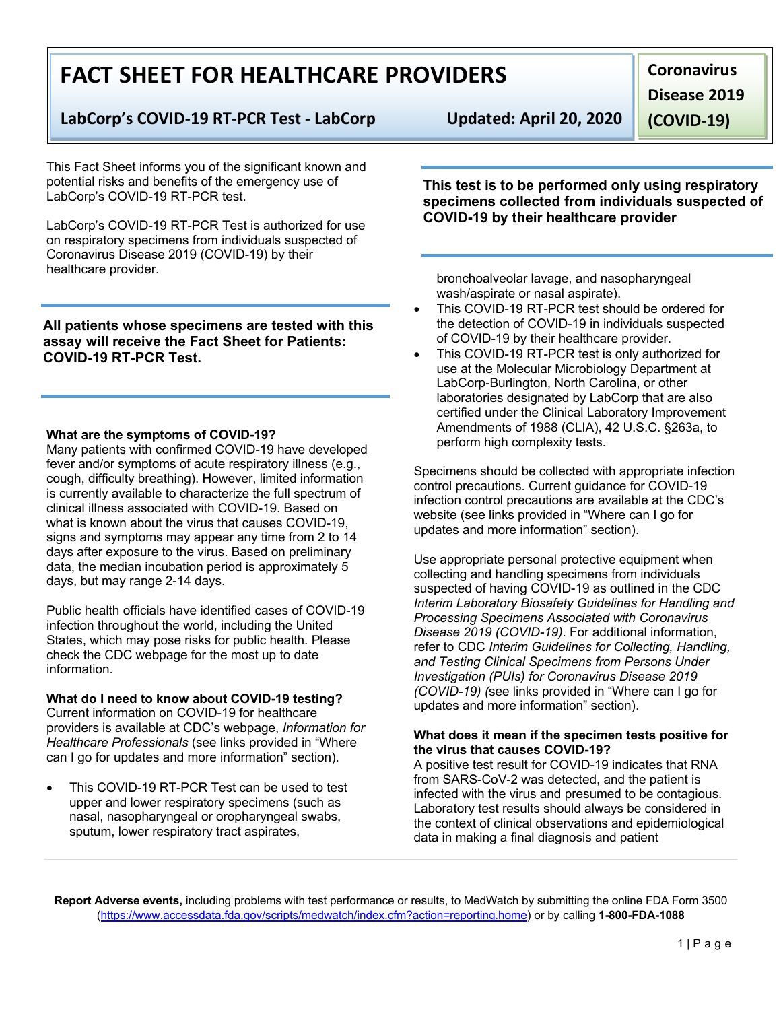# **FACT SHEET FOR HEALTHCARE PROVIDERS**

### **LabCorp's COVID-19 RT-PCR Test - LabCorp Updated: April 20, 2020**

This Fact Sheet informs you of the significant known and potential risks and benefits of the emergency use of LabCorp's COVID-19 RT-PCR test.

LabCorp's COVID-19 RT-PCR Test is authorized for use on respiratory specimens from individuals suspected of Coronavirus Disease 2019 (COVID-19) by their healthcare provider.

**All patients whose specimens are tested with this assay will receive the Fact Sheet for Patients: COVID-19 RT-PCR Test.**

#### **What are the symptoms of COVID-19?**

Many patients with confirmed COVID-19 have developed fever and/or symptoms of acute respiratory illness (e.g., cough, difficulty breathing). However, limited information is currently available to characterize the full spectrum of clinical illness associated with COVID-19. Based on what is known about the virus that causes COVID-19, signs and symptoms may appear any time from 2 to 14 days after exposure to the virus. Based on preliminary data, the median incubation period is approximately 5 days, but may range 2-14 days.

Public health officials have identified cases of COVID-19 infection throughout the world, including the United States, which may pose risks for public health. Please check the CDC webpage for the most up to date information.

#### **What do I need to know about COVID-19 testing?** Current information on COVID-19 for healthcare providers is available at CDC's webpage, *Information for Healthcare Professionals* (see links provided in "Where can I go for updates and more information" section).

This COVID-19 RT-PCR Test can be used to test upper and lower respiratory specimens (such as nasal, nasopharyngeal or oropharyngeal swabs, sputum, lower respiratory tract aspirates,

**Coronavirus Disease 2019 (COVID-19)**

**This test is to be performed only using respiratory specimens collected from individuals suspected of COVID-19 by their healthcare provider**

bronchoalveolar lavage, and nasopharyngeal wash/aspirate or nasal aspirate).

- This COVID-19 RT-PCR test should be ordered for the detection of COVID-19 in individuals suspected of COVID-19 by their healthcare provider.
- This COVID-19 RT-PCR test is only authorized for use at the Molecular Microbiology Department at LabCorp-Burlington, North Carolina, or other laboratories designated by LabCorp that are also certified under the Clinical Laboratory Improvement Amendments of 1988 (CLIA), 42 U.S.C. §263a, to perform high complexity tests.

Specimens should be collected with appropriate infection control precautions. Current guidance for COVID-19 infection control precautions are available at the CDC's website (see links provided in "Where can I go for updates and more information" section).

Use appropriate personal protective equipment when collecting and handling specimens from individuals suspected of having COVID-19 as outlined in the CDC *Interim Laboratory Biosafety Guidelines for Handling and Processing Specimens Associated with Coronavirus Disease 2019 (COVID-19)*. For additional information, refer to CDC *Interim Guidelines for Collecting, Handling, and Testing Clinical Specimens from Persons Under Investigation (PUIs) for Coronavirus Disease 2019 (COVID-19) (*see links provided in "Where can I go for updates and more information" section).

#### **What does it mean if the specimen tests positive for the virus that causes COVID-19?**

A positive test result for COVID-19 indicates that RNA from SARS-CoV-2 was detected, and the patient is infected with the virus and presumed to be contagious. Laboratory test results should always be considered in the context of clinical observations and epidemiological data in making a final diagnosis and patient

**Report Adverse events,** including problems with test performance or results, to MedWatch by submitting the online FDA Form 3500 (https://www.accessdata.fda.gov/scripts/medwatch/index.cfm?action=reporting.home) or by calling **1-800-FDA-1088**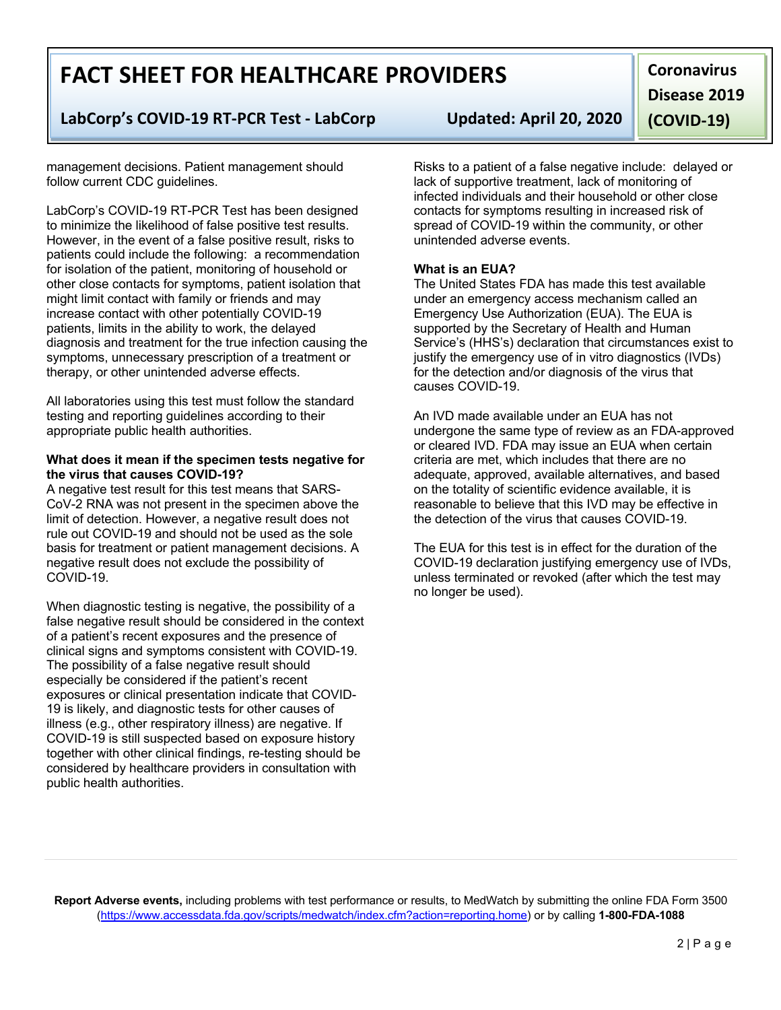#### **Report Adverse events,** including problems with test performance or results, to MedWatch by submitting the online FDA Form 3500 (https://www.accessdata.fda.gov/scripts/medwatch/index.cfm?action=reporting.home) or by calling **1-800-FDA-1088**

# **FACT SHEET FOR HEALTHCARE PROVIDERS**

### **LabCorp's COVID-19 RT-PCR Test - LabCorp Updated: April 20, 2020**

management decisions. Patient management should follow current CDC guidelines.

LabCorp's COVID-19 RT-PCR Test has been designed to minimize the likelihood of false positive test results. However, in the event of a false positive result, risks to patients could include the following: a recommendation for isolation of the patient, monitoring of household or other close contacts for symptoms, patient isolation that might limit contact with family or friends and may increase contact with other potentially COVID-19 patients, limits in the ability to work, the delayed diagnosis and treatment for the true infection causing the symptoms, unnecessary prescription of a treatment or therapy, or other unintended adverse effects.

All laboratories using this test must follow the standard testing and reporting guidelines according to their appropriate public health authorities.

#### **What does it mean if the specimen tests negative for the virus that causes COVID-19?**

A negative test result for this test means that SARS-CoV-2 RNA was not present in the specimen above the limit of detection. However, a negative result does not rule out COVID-19 and should not be used as the sole basis for treatment or patient management decisions. A negative result does not exclude the possibility of COVID-19.

When diagnostic testing is negative, the possibility of a false negative result should be considered in the context of a patient's recent exposures and the presence of clinical signs and symptoms consistent with COVID-19. The possibility of a false negative result should especially be considered if the patient's recent exposures or clinical presentation indicate that COVID-19 is likely, and diagnostic tests for other causes of illness (e.g., other respiratory illness) are negative. If COVID-19 is still suspected based on exposure history together with other clinical findings, re-testing should be considered by healthcare providers in consultation with public health authorities.

Risks to a patient of a false negative include: delayed or lack of supportive treatment, lack of monitoring of infected individuals and their household or other close contacts for symptoms resulting in increased risk of spread of COVID-19 within the community, or other unintended adverse events.

#### **What is an EUA?**

The United States FDA has made this test available under an emergency access mechanism called an Emergency Use Authorization (EUA). The EUA is supported by the Secretary of Health and Human Service's (HHS's) declaration that circumstances exist to justify the emergency use of in vitro diagnostics (IVDs) for the detection and/or diagnosis of the virus that causes COVID-19.

An IVD made available under an EUA has not undergone the same type of review as an FDA-approved or cleared IVD. FDA may issue an EUA when certain criteria are met, which includes that there are no adequate, approved, available alternatives, and based on the totality of scientific evidence available, it is reasonable to believe that this IVD may be effective in the detection of the virus that causes COVID-19.

The EUA for this test is in effect for the duration of the COVID-19 declaration justifying emergency use of IVDs, unless terminated or revoked (after which the test may no longer be used).

## **Coronavirus Disease 2019 (COVID-19)**